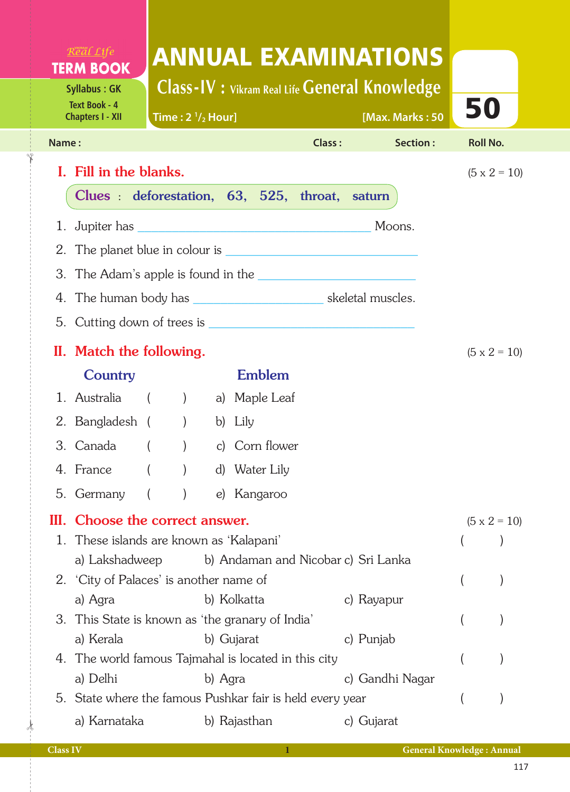| Real Life<br><b>ANNUAL EXAMINATIONS</b><br><b>TERM BOOK</b><br><b>Class-IV : Vikram Real Life General Knowledge</b><br><b>Syllabus: GK</b><br><b>Text Book - 4</b><br>50<br>[Max. Marks: 50<br>Time: $2 \frac{1}{2}$ Hour]<br><b>Chapters I - XII</b><br>Section:<br>Class:<br><b>Roll No.</b><br>Name:<br>I. Fill in the blanks.<br>$(5 \times 2 = 10)$<br>Clues : deforestation, 63, 525, throat, saturn<br>1. Jupiter has Moons. |  |
|-------------------------------------------------------------------------------------------------------------------------------------------------------------------------------------------------------------------------------------------------------------------------------------------------------------------------------------------------------------------------------------------------------------------------------------|--|
|                                                                                                                                                                                                                                                                                                                                                                                                                                     |  |
|                                                                                                                                                                                                                                                                                                                                                                                                                                     |  |
|                                                                                                                                                                                                                                                                                                                                                                                                                                     |  |
|                                                                                                                                                                                                                                                                                                                                                                                                                                     |  |
|                                                                                                                                                                                                                                                                                                                                                                                                                                     |  |
|                                                                                                                                                                                                                                                                                                                                                                                                                                     |  |
|                                                                                                                                                                                                                                                                                                                                                                                                                                     |  |
|                                                                                                                                                                                                                                                                                                                                                                                                                                     |  |
|                                                                                                                                                                                                                                                                                                                                                                                                                                     |  |
|                                                                                                                                                                                                                                                                                                                                                                                                                                     |  |
|                                                                                                                                                                                                                                                                                                                                                                                                                                     |  |
| II. Match the following.<br>$(5 \times 2 = 10)$<br><b>Emblem</b>                                                                                                                                                                                                                                                                                                                                                                    |  |
| Country<br>1. Australia () a) Maple Leaf                                                                                                                                                                                                                                                                                                                                                                                            |  |
| 2. Bangladesh () b) Lily                                                                                                                                                                                                                                                                                                                                                                                                            |  |
| $\mathcal{L}$<br>3. Canada<br>c) Corn flower                                                                                                                                                                                                                                                                                                                                                                                        |  |
| 4. France<br>d) Water Lily                                                                                                                                                                                                                                                                                                                                                                                                          |  |
| 5. Germany<br>e) Kangaroo                                                                                                                                                                                                                                                                                                                                                                                                           |  |
| III. Choose the correct answer.                                                                                                                                                                                                                                                                                                                                                                                                     |  |
| $(5 \times 2 = 10)$<br>1. These islands are known as 'Kalapani'                                                                                                                                                                                                                                                                                                                                                                     |  |
| a) Lakshadweep<br>b) Andaman and Nicobar c) Sri Lanka                                                                                                                                                                                                                                                                                                                                                                               |  |
| 2. 'City of Palaces' is another name of                                                                                                                                                                                                                                                                                                                                                                                             |  |
| b) Kolkatta<br>a) Agra<br>c) Rayapur                                                                                                                                                                                                                                                                                                                                                                                                |  |
| 3. This State is known as 'the granary of India'                                                                                                                                                                                                                                                                                                                                                                                    |  |
| a) Kerala<br>b) Gujarat<br>c) Punjab<br>4. The world famous Tajmahal is located in this city                                                                                                                                                                                                                                                                                                                                        |  |
| a) Delhi<br>c) Gandhi Nagar<br>b) Agra                                                                                                                                                                                                                                                                                                                                                                                              |  |
| 5. State where the famous Pushkar fair is held every year                                                                                                                                                                                                                                                                                                                                                                           |  |
| a) Karnataka<br>b) Rajasthan<br>c) Gujarat                                                                                                                                                                                                                                                                                                                                                                                          |  |